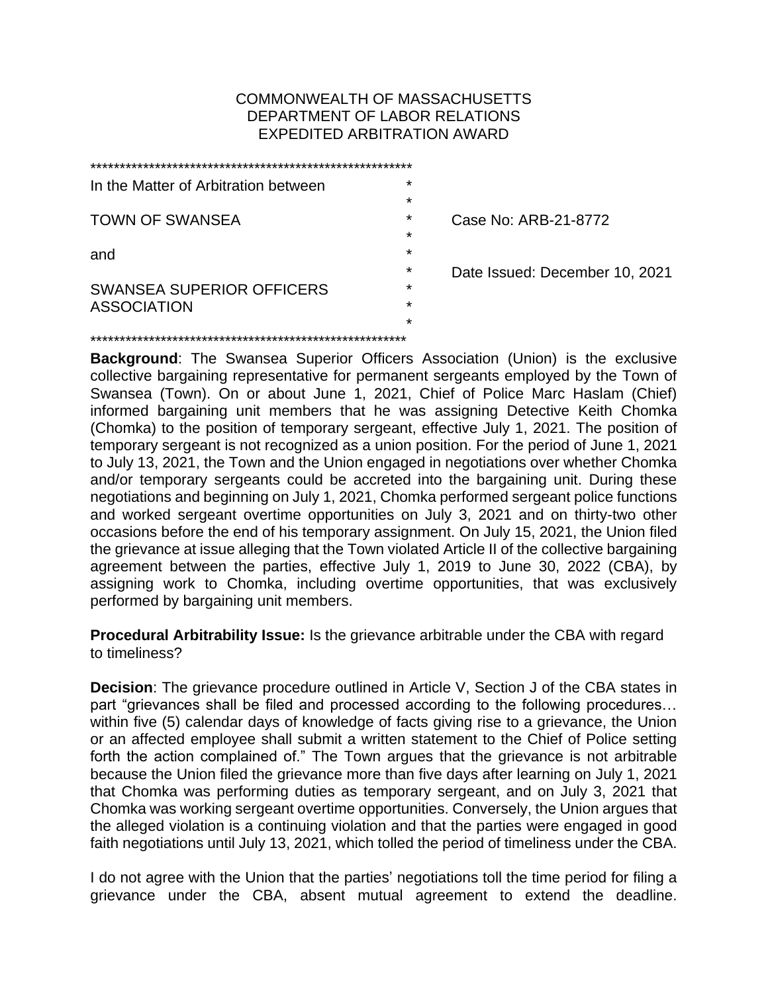## COMMONWEALTH OF MASSACHUSETTS DEPARTMENT OF LABOR RELATIONS EXPEDITED ARBITRATION AWARD

| In the Matter of Arbitration between | $\star$ |                                |
|--------------------------------------|---------|--------------------------------|
|                                      | $\star$ |                                |
| <b>TOWN OF SWANSEA</b>               | $\star$ | Case No: ARB-21-8772           |
|                                      | *       |                                |
| and                                  | $\star$ |                                |
|                                      | $\star$ | Date Issued: December 10, 2021 |
| <b>SWANSEA SUPERIOR OFFICERS</b>     | $\star$ |                                |
| <b>ASSOCIATION</b>                   | $\star$ |                                |
|                                      | $\star$ |                                |
|                                      |         |                                |

**Background**: The Swansea Superior Officers Association (Union) is the exclusive collective bargaining representative for permanent sergeants employed by the Town of Swansea (Town). On or about June 1, 2021, Chief of Police Marc Haslam (Chief) informed bargaining unit members that he was assigning Detective Keith Chomka (Chomka) to the position of temporary sergeant, effective July 1, 2021. The position of temporary sergeant is not recognized as a union position. For the period of June 1, 2021 to July 13, 2021, the Town and the Union engaged in negotiations over whether Chomka and/or temporary sergeants could be accreted into the bargaining unit. During these negotiations and beginning on July 1, 2021, Chomka performed sergeant police functions and worked sergeant overtime opportunities on July 3, 2021 and on thirty-two other occasions before the end of his temporary assignment. On July 15, 2021, the Union filed the grievance at issue alleging that the Town violated Article II of the collective bargaining agreement between the parties, effective July 1, 2019 to June 30, 2022 (CBA), by assigning work to Chomka, including overtime opportunities, that was exclusively performed by bargaining unit members.

**Procedural Arbitrability Issue:** Is the grievance arbitrable under the CBA with regard to timeliness?

**Decision:** The grievance procedure outlined in Article V, Section J of the CBA states in part "grievances shall be filed and processed according to the following procedures… within five (5) calendar days of knowledge of facts giving rise to a grievance, the Union or an affected employee shall submit a written statement to the Chief of Police setting forth the action complained of." The Town argues that the grievance is not arbitrable because the Union filed the grievance more than five days after learning on July 1, 2021 that Chomka was performing duties as temporary sergeant, and on July 3, 2021 that Chomka was working sergeant overtime opportunities. Conversely, the Union argues that the alleged violation is a continuing violation and that the parties were engaged in good faith negotiations until July 13, 2021, which tolled the period of timeliness under the CBA.

I do not agree with the Union that the parties' negotiations toll the time period for filing a grievance under the CBA, absent mutual agreement to extend the deadline.